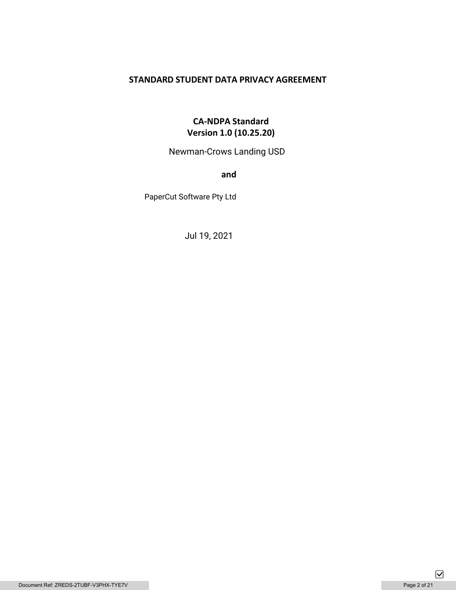# **STANDARD STUDENT DATA PRIVACY AGREEMENT**

# **CA-NDPA Standard Version 1.0 (10.25.20)**

Newman-Crows Landing USD

**and** 

PaperCut Software Pty Ltd

Jul 19, 2021

 $\boxed{\mathbf{\mathsf{v}}}$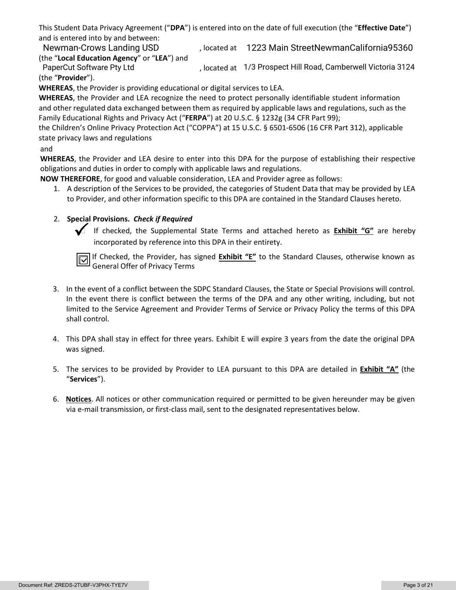This Student Data Privacy Agreement ("**DPA**") is entered into on the date of full execution (the "**Effective Date**") and is entered into by and between:

Newman-Crows Landing USD (1223 Main StreetNewmanCalifornia95360 (the "**Local Education Agency**" or "**LEA**") and

, located at PaperCut Software Pty Ltd 1/3 Prospect Hill Road, Camberwell Victoria 3124 (the "**Provider**").

**WHEREAS**, the Provider is providing educational or digital services to LEA.

**WHEREAS**, the Provider and LEA recognize the need to protect personally identifiable student information and other regulated data exchanged between them as required by applicable laws and regulations, such as the Family Educational Rights and Privacy Act ("**FERPA**") at 20 U.S.C. § 1232g (34 CFR Part 99);

the Children's Online Privacy Protection Act ("COPPA") at 15 U.S.C. § 6501-6506 (16 CFR Part 312), applicable state privacy laws and regulations

# and

**WHEREAS**, the Provider and LEA desire to enter into this DPA for the purpose of establishing their respective obligations and duties in order to comply with applicable laws and regulations.

**NOW THEREFORE**, for good and valuable consideration, LEA and Provider agree as follows:

1. A description of the Services to be provided, the categories of Student Data that may be provided by LEA to Provider, and other information specific to this DPA are contained in the Standard Clauses hereto.

# 2. **Special Provisions.** *Check if Required*

 If checked, the Supplemental State Terms and attached hereto as **Exhibit "G"** are hereby incorporated by reference into this DPA in their entirety.

If Checked, the Provider, has signed **Exhibit "E"** to the Standard Clauses, otherwise known as General Offer of Privacy Terms

- 3. In the event of a conflict between the SDPC Standard Clauses, the State or Special Provisions will control. In the event there is conflict between the terms of the DPA and any other writing, including, but not limited to the Service Agreement and Provider Terms of Service or Privacy Policy the terms of this DPA shall control.
- 4. This DPA shall stay in effect for three years. Exhibit E will expire 3 years from the date the original DPA was signed.
- 5. The services to be provided by Provider to LEA pursuant to this DPA are detailed in **Exhibit "A"** (the "**Services**").
- 6. **Notices**. All notices or other communication required or permitted to be given hereunder may be given via e-mail transmission, or first-class mail, sent to the designated representatives below.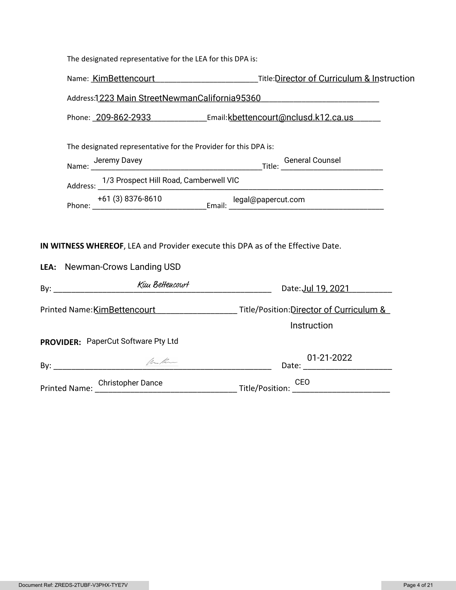| The designated representative for the LEA for this DPA is:                                                              |                                                                                                       |  |  |  |
|-------------------------------------------------------------------------------------------------------------------------|-------------------------------------------------------------------------------------------------------|--|--|--|
|                                                                                                                         | Name: KimBettencourt Cambridge Title: Director of Curriculum & Instruction                            |  |  |  |
| Address:1223 Main StreetNewmanCalifornia95360                                                                           |                                                                                                       |  |  |  |
|                                                                                                                         | Phone: 209-862-2933 Email:kbettencourt@nclusd.k12.ca.us                                               |  |  |  |
| The designated representative for the Provider for this DPA is:                                                         |                                                                                                       |  |  |  |
|                                                                                                                         |                                                                                                       |  |  |  |
| Address: 1/3 Prospect Hill Road, Camberwell VIC                                                                         |                                                                                                       |  |  |  |
|                                                                                                                         |                                                                                                       |  |  |  |
| IN WITNESS WHEREOF, LEA and Provider execute this DPA as of the Effective Date.<br><b>LEA:</b> Newman-Crows Landing USD |                                                                                                       |  |  |  |
|                                                                                                                         | Date: Jul 19, 2021                                                                                    |  |  |  |
|                                                                                                                         | Printed Name: KimBettencourt Manual According Title/Position: Director of Curriculum &<br>Instruction |  |  |  |
| PROVIDER: PaperCut Software Pty Ltd                                                                                     |                                                                                                       |  |  |  |
| $By: ____________$                                                                                                      | 01-21-2022<br>Date: $\frac{24}{24}$                                                                   |  |  |  |
|                                                                                                                         | Printed Name: Christopher Dance<br>Title/Position: CEO<br>CEO                                         |  |  |  |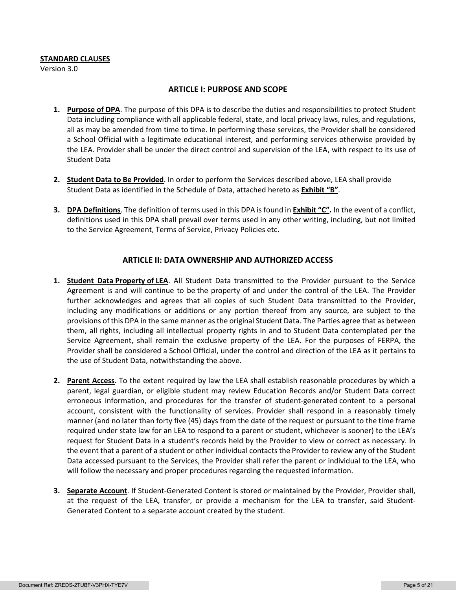#### **STANDARD CLAUSES**

Version 3.0

### **ARTICLE I: PURPOSE AND SCOPE**

- **1. Purpose of DPA**. The purpose of this DPA is to describe the duties and responsibilities to protect Student Data including compliance with all applicable federal, state, and local privacy laws, rules, and regulations, all as may be amended from time to time. In performing these services, the Provider shall be considered a School Official with a legitimate educational interest, and performing services otherwise provided by the LEA. Provider shall be under the direct control and supervision of the LEA, with respect to its use of Student Data
- **2. Student Data to Be Provided**. In order to perform the Services described above, LEA shall provide Student Data as identified in the Schedule of Data, attached hereto as **Exhibit "B"**.
- **3. DPA Definitions**. The definition of terms used in this DPA is found in **Exhibit "C".** In the event of a conflict, definitions used in this DPA shall prevail over terms used in any other writing, including, but not limited to the Service Agreement, Terms of Service, Privacy Policies etc.

## **ARTICLE II: DATA OWNERSHIP AND AUTHORIZED ACCESS**

- **1. Student Data Property of LEA**. All Student Data transmitted to the Provider pursuant to the Service Agreement is and will continue to be the property of and under the control of the LEA. The Provider further acknowledges and agrees that all copies of such Student Data transmitted to the Provider, including any modifications or additions or any portion thereof from any source, are subject to the provisions of this DPA in the same manner as the original Student Data. The Parties agree that as between them, all rights, including all intellectual property rights in and to Student Data contemplated per the Service Agreement, shall remain the exclusive property of the LEA. For the purposes of FERPA, the Provider shall be considered a School Official, under the control and direction of the LEA as it pertains to the use of Student Data, notwithstanding the above.
- **2. Parent Access**. To the extent required by law the LEA shall establish reasonable procedures by which a parent, legal guardian, or eligible student may review Education Records and/or Student Data correct erroneous information, and procedures for the transfer of student-generated content to a personal account, consistent with the functionality of services. Provider shall respond in a reasonably timely manner (and no later than forty five (45) days from the date of the request or pursuant to the time frame required under state law for an LEA to respond to a parent or student, whichever is sooner) to the LEA's request for Student Data in a student's records held by the Provider to view or correct as necessary. In the event that a parent of a student or other individual contacts the Provider to review any of the Student Data accessed pursuant to the Services, the Provider shall refer the parent or individual to the LEA, who will follow the necessary and proper procedures regarding the requested information.
- **3. Separate Account**. If Student-Generated Content is stored or maintained by the Provider, Provider shall, at the request of the LEA, transfer, or provide a mechanism for the LEA to transfer, said Student-Generated Content to a separate account created by the student.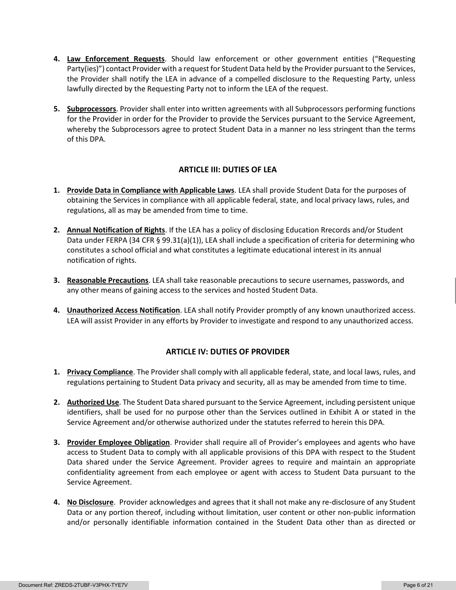- **4. Law Enforcement Requests**. Should law enforcement or other government entities ("Requesting Party(ies)") contact Provider with a request for Student Data held by the Provider pursuant to the Services, the Provider shall notify the LEA in advance of a compelled disclosure to the Requesting Party, unless lawfully directed by the Requesting Party not to inform the LEA of the request.
- **5. Subprocessors**. Provider shall enter into written agreements with all Subprocessors performing functions for the Provider in order for the Provider to provide the Services pursuant to the Service Agreement, whereby the Subprocessors agree to protect Student Data in a manner no less stringent than the terms of this DPA.

# **ARTICLE III: DUTIES OF LEA**

- **1. Provide Data in Compliance with Applicable Laws**. LEA shall provide Student Data for the purposes of obtaining the Services in compliance with all applicable federal, state, and local privacy laws, rules, and regulations, all as may be amended from time to time.
- **2. Annual Notification of Rights**. If the LEA has a policy of disclosing Education Rrecords and/or Student Data under FERPA (34 CFR § 99.31(a)(1)), LEA shall include a specification of criteria for determining who constitutes a school official and what constitutes a legitimate educational interest in its annual notification of rights.
- **3. Reasonable Precautions**. LEA shall take reasonable precautions to secure usernames, passwords, and any other means of gaining access to the services and hosted Student Data.
- **4. Unauthorized Access Notification**. LEA shall notify Provider promptly of any known unauthorized access. LEA will assist Provider in any efforts by Provider to investigate and respond to any unauthorized access.

# **ARTICLE IV: DUTIES OF PROVIDER**

- **1. Privacy Compliance**. The Provider shall comply with all applicable federal, state, and local laws, rules, and regulations pertaining to Student Data privacy and security, all as may be amended from time to time.
- **2. Authorized Use**. The Student Data shared pursuant to the Service Agreement, including persistent unique identifiers, shall be used for no purpose other than the Services outlined in Exhibit A or stated in the Service Agreement and/or otherwise authorized under the statutes referred to herein this DPA.
- **3. Provider Employee Obligation**. Provider shall require all of Provider's employees and agents who have access to Student Data to comply with all applicable provisions of this DPA with respect to the Student Data shared under the Service Agreement. Provider agrees to require and maintain an appropriate confidentiality agreement from each employee or agent with access to Student Data pursuant to the Service Agreement.
- **4. No Disclosure**. Provider acknowledges and agrees that it shall not make any re-disclosure of any Student Data or any portion thereof, including without limitation, user content or other non-public information and/or personally identifiable information contained in the Student Data other than as directed or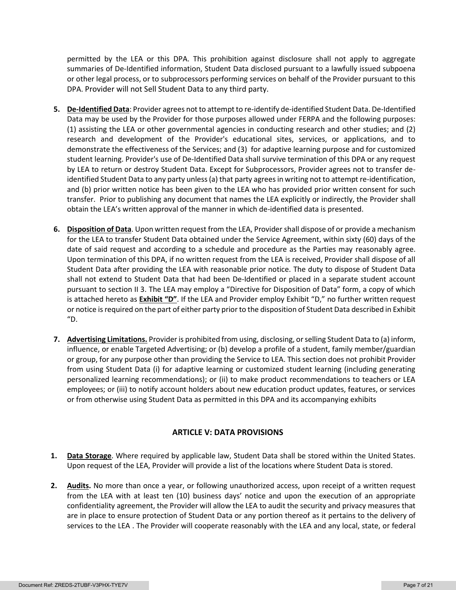permitted by the LEA or this DPA. This prohibition against disclosure shall not apply to aggregate summaries of De-Identified information, Student Data disclosed pursuant to a lawfully issued subpoena or other legal process, or to subprocessors performing services on behalf of the Provider pursuant to this DPA. Provider will not Sell Student Data to any third party.

- **5. De-Identified Data**: Provider agrees not to attempt to re-identify de-identified Student Data. De-Identified Data may be used by the Provider for those purposes allowed under FERPA and the following purposes: (1) assisting the LEA or other governmental agencies in conducting research and other studies; and (2) research and development of the Provider's educational sites, services, or applications, and to demonstrate the effectiveness of the Services; and (3) for adaptive learning purpose and for customized student learning. Provider's use of De-Identified Data shall survive termination of this DPA or any request by LEA to return or destroy Student Data. Except for Subprocessors, Provider agrees not to transfer deidentified Student Data to any party unless (a) that party agrees in writing not to attempt re-identification, and (b) prior written notice has been given to the LEA who has provided prior written consent for such transfer. Prior to publishing any document that names the LEA explicitly or indirectly, the Provider shall obtain the LEA's written approval of the manner in which de-identified data is presented.
- **6. Disposition of Data**. Upon written request from the LEA, Provider shall dispose of or provide a mechanism for the LEA to transfer Student Data obtained under the Service Agreement, within sixty (60) days of the date of said request and according to a schedule and procedure as the Parties may reasonably agree. Upon termination of this DPA, if no written request from the LEA is received, Provider shall dispose of all Student Data after providing the LEA with reasonable prior notice. The duty to dispose of Student Data shall not extend to Student Data that had been De-Identified or placed in a separate student account pursuant to section II 3. The LEA may employ a "Directive for Disposition of Data" form, a copy of which is attached hereto as **Exhibit "D"**. If the LEA and Provider employ Exhibit "D," no further written request or notice is required on the part of either party prior to the disposition of Student Data described in Exhibit "D.
- **7. Advertising Limitations.** Provider is prohibited from using, disclosing, or selling Student Data to (a) inform, influence, or enable Targeted Advertising; or (b) develop a profile of a student, family member/guardian or group, for any purpose other than providing the Service to LEA. This section does not prohibit Provider from using Student Data (i) for adaptive learning or customized student learning (including generating personalized learning recommendations); or (ii) to make product recommendations to teachers or LEA employees; or (iii) to notify account holders about new education product updates, features, or services or from otherwise using Student Data as permitted in this DPA and its accompanying exhibits

# **ARTICLE V: DATA PROVISIONS**

- **1. Data Storage**. Where required by applicable law, Student Data shall be stored within the United States. Upon request of the LEA, Provider will provide a list of the locations where Student Data is stored.
- **2. Audits.** No more than once a year, or following unauthorized access, upon receipt of a written request from the LEA with at least ten (10) business days' notice and upon the execution of an appropriate confidentiality agreement, the Provider will allow the LEA to audit the security and privacy measures that are in place to ensure protection of Student Data or any portion thereof as it pertains to the delivery of services to the LEA . The Provider will cooperate reasonably with the LEA and any local, state, or federal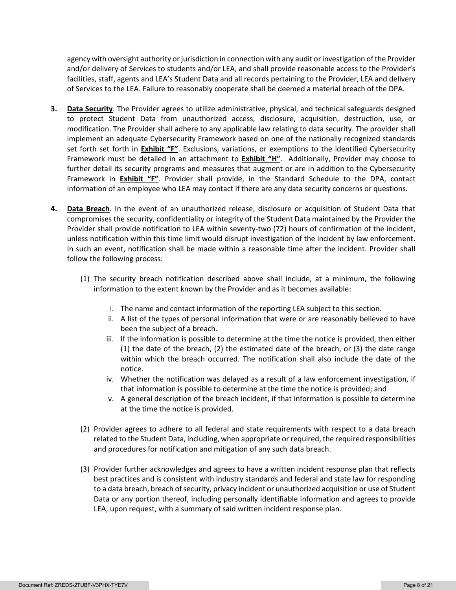agency with oversight authority or jurisdiction in connection with any audit or investigation of the Provider and/or delivery of Services to students and/or LEA, and shall provide reasonable access to the Provider's facilities, staff, agents and LEA's Student Data and all records pertaining to the Provider, LEA and delivery of Services to the LEA. Failure to reasonably cooperate shall be deemed a material breach of the DPA.

- **3. Data Security**. The Provider agrees to utilize administrative, physical, and technical safeguards designed to protect Student Data from unauthorized access, disclosure, acquisition, destruction, use, or modification. The Provider shall adhere to any applicable law relating to data security. The provider shall implement an adequate Cybersecurity Framework based on one of the nationally recognized standards set forth set forth in **Exhibit "F"**. Exclusions, variations, or exemptions to the identified Cybersecurity Framework must be detailed in an attachment to **Exhibit "H"**. Additionally, Provider may choose to further detail its security programs and measures that augment or are in addition to the Cybersecurity Framework in **Exhibit "F"**. Provider shall provide, in the Standard Schedule to the DPA, contact information of an employee who LEA may contact if there are any data security concerns or questions.
- **4. Data Breach**. In the event of an unauthorized release, disclosure or acquisition of Student Data that compromises the security, confidentiality or integrity of the Student Data maintained by the Provider the Provider shall provide notification to LEA within seventy-two (72) hours of confirmation of the incident, unless notification within this time limit would disrupt investigation of the incident by law enforcement. In such an event, notification shall be made within a reasonable time after the incident. Provider shall follow the following process:
	- (1) The security breach notification described above shall include, at a minimum, the following information to the extent known by the Provider and as it becomes available:
		- i. The name and contact information of the reporting LEA subject to this section.
		- ii. A list of the types of personal information that were or are reasonably believed to have been the subject of a breach.
		- iii. If the information is possible to determine at the time the notice is provided, then either (1) the date of the breach, (2) the estimated date of the breach, or (3) the date range within which the breach occurred. The notification shall also include the date of the notice.
		- iv. Whether the notification was delayed as a result of a law enforcement investigation, if that information is possible to determine at the time the notice is provided; and
		- v. A general description of the breach incident, if that information is possible to determine at the time the notice is provided.
	- (2) Provider agrees to adhere to all federal and state requirements with respect to a data breach related to the Student Data, including, when appropriate or required, the required responsibilities and procedures for notification and mitigation of any such data breach.
	- (3) Provider further acknowledges and agrees to have a written incident response plan that reflects best practices and is consistent with industry standards and federal and state law for responding to a data breach, breach of security, privacy incident or unauthorized acquisition or use of Student Data or any portion thereof, including personally identifiable information and agrees to provide LEA, upon request, with a summary of said written incident response plan.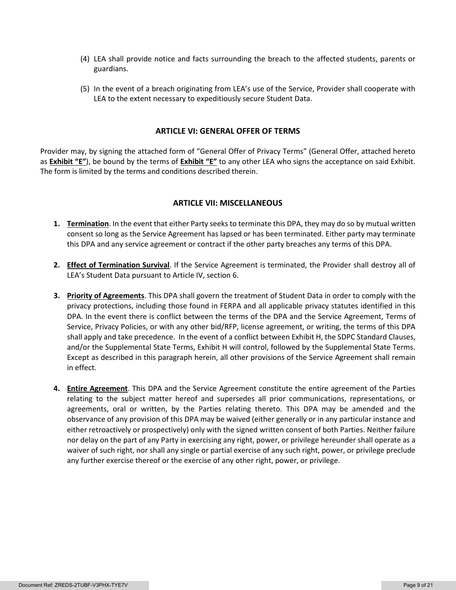- (4) LEA shall provide notice and facts surrounding the breach to the affected students, parents or guardians.
- (5) In the event of a breach originating from LEA's use of the Service, Provider shall cooperate with LEA to the extent necessary to expeditiously secure Student Data.

### **ARTICLE VI: GENERAL OFFER OF TERMS**

Provider may, by signing the attached form of "General Offer of Privacy Terms" (General Offer, attached hereto as **Exhibit "E"**), be bound by the terms of **Exhibit "E"** to any other LEA who signs the acceptance on said Exhibit. The form is limited by the terms and conditions described therein.

#### **ARTICLE VII: MISCELLANEOUS**

- **1. Termination**. In the event that either Party seeks to terminate this DPA, they may do so by mutual written consent so long as the Service Agreement has lapsed or has been terminated. Either party may terminate this DPA and any service agreement or contract if the other party breaches any terms of this DPA.
- **2. Effect of Termination Survival**. If the Service Agreement is terminated, the Provider shall destroy all of LEA's Student Data pursuant to Article IV, section 6.
- **3. Priority of Agreements**. This DPA shall govern the treatment of Student Data in order to comply with the privacy protections, including those found in FERPA and all applicable privacy statutes identified in this DPA. In the event there is conflict between the terms of the DPA and the Service Agreement, Terms of Service, Privacy Policies, or with any other bid/RFP, license agreement, or writing, the terms of this DPA shall apply and take precedence. In the event of a conflict between Exhibit H, the SDPC Standard Clauses, and/or the Supplemental State Terms, Exhibit H will control, followed by the Supplemental State Terms. Except as described in this paragraph herein, all other provisions of the Service Agreement shall remain in effect.
- **4. Entire Agreement**. This DPA and the Service Agreement constitute the entire agreement of the Parties relating to the subject matter hereof and supersedes all prior communications, representations, or agreements, oral or written, by the Parties relating thereto. This DPA may be amended and the observance of any provision of this DPA may be waived (either generally or in any particular instance and either retroactively or prospectively) only with the signed written consent of both Parties. Neither failure nor delay on the part of any Party in exercising any right, power, or privilege hereunder shall operate as a waiver of such right, nor shall any single or partial exercise of any such right, power, or privilege preclude any further exercise thereof or the exercise of any other right, power, or privilege.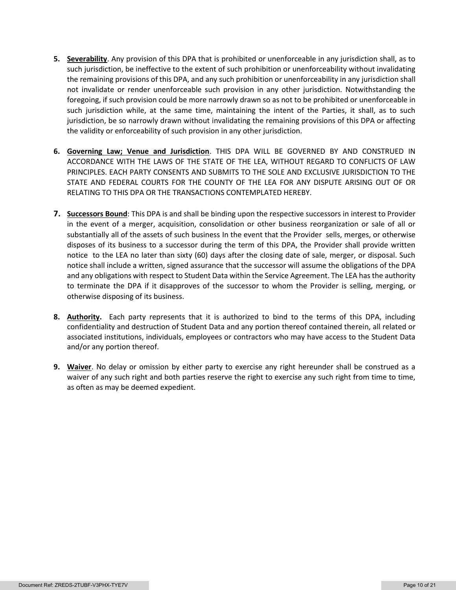- **5. Severability**. Any provision of this DPA that is prohibited or unenforceable in any jurisdiction shall, as to such jurisdiction, be ineffective to the extent of such prohibition or unenforceability without invalidating the remaining provisions of this DPA, and any such prohibition or unenforceability in any jurisdiction shall not invalidate or render unenforceable such provision in any other jurisdiction. Notwithstanding the foregoing, if such provision could be more narrowly drawn so as not to be prohibited or unenforceable in such jurisdiction while, at the same time, maintaining the intent of the Parties, it shall, as to such jurisdiction, be so narrowly drawn without invalidating the remaining provisions of this DPA or affecting the validity or enforceability of such provision in any other jurisdiction.
- **6. Governing Law; Venue and Jurisdiction**. THIS DPA WILL BE GOVERNED BY AND CONSTRUED IN ACCORDANCE WITH THE LAWS OF THE STATE OF THE LEA, WITHOUT REGARD TO CONFLICTS OF LAW PRINCIPLES. EACH PARTY CONSENTS AND SUBMITS TO THE SOLE AND EXCLUSIVE JURISDICTION TO THE STATE AND FEDERAL COURTS FOR THE COUNTY OF THE LEA FOR ANY DISPUTE ARISING OUT OF OR RELATING TO THIS DPA OR THE TRANSACTIONS CONTEMPLATED HEREBY.
- **7. Successors Bound**: This DPA is and shall be binding upon the respective successors in interest to Provider in the event of a merger, acquisition, consolidation or other business reorganization or sale of all or substantially all of the assets of such business In the event that the Provider sells, merges, or otherwise disposes of its business to a successor during the term of this DPA, the Provider shall provide written notice to the LEA no later than sixty (60) days after the closing date of sale, merger, or disposal. Such notice shall include a written, signed assurance that the successor will assume the obligations of the DPA and any obligations with respect to Student Data within the Service Agreement. The LEA has the authority to terminate the DPA if it disapproves of the successor to whom the Provider is selling, merging, or otherwise disposing of its business.
- **8. Authority.** Each party represents that it is authorized to bind to the terms of this DPA, including confidentiality and destruction of Student Data and any portion thereof contained therein, all related or associated institutions, individuals, employees or contractors who may have access to the Student Data and/or any portion thereof.
- **9. Waiver**. No delay or omission by either party to exercise any right hereunder shall be construed as a waiver of any such right and both parties reserve the right to exercise any such right from time to time, as often as may be deemed expedient.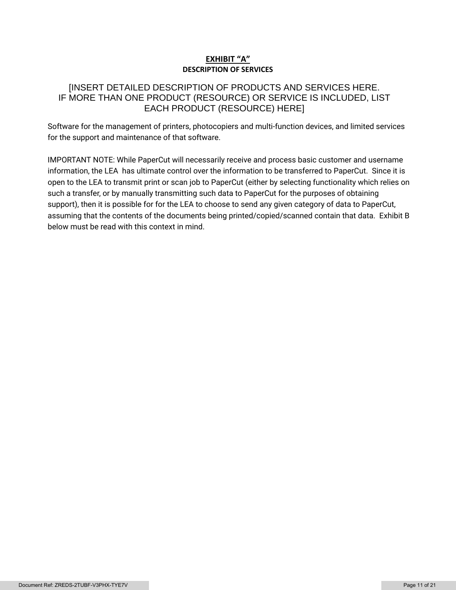# **EXHIBIT "A" DESCRIPTION OF SERVICES**

# [INSERT DETAILED DESCRIPTION OF PRODUCTS AND SERVICES HERE. IF MORE THAN ONE PRODUCT (RESOURCE) OR SERVICE IS INCLUDED, LIST EACH PRODUCT (RESOURCE) HERE]

Software for the management of printers, photocopiers and multi-function devices, and limited services for the support and maintenance of that software.

IMPORTANT NOTE: While PaperCut will necessarily receive and process basic customer and username information, the LEA has ultimate control over the information to be transferred to PaperCut. Since it is open to the LEA to transmit print or scan job to PaperCut (either by selecting functionality which relies on such a transfer, or by manually transmitting such data to PaperCut for the purposes of obtaining support), then it is possible for for the LEA to choose to send any given category of data to PaperCut, assuming that the contents of the documents being printed/copied/scanned contain that data. Exhibit B below must be read with this context in mind.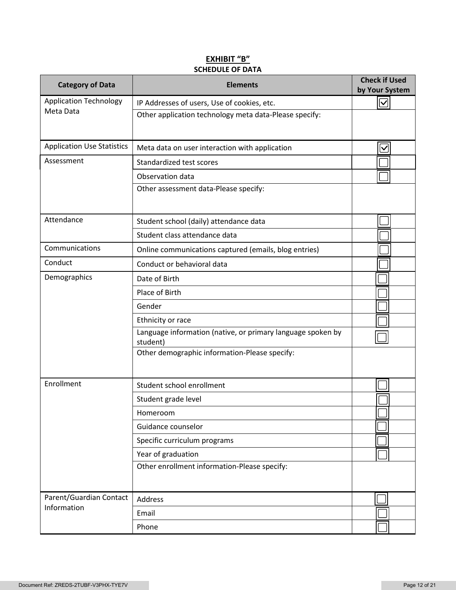# **EXHIBIT "B" SCHEDULE OF DATA**

| <b>Category of Data</b>           | <b>Elements</b>                                                         | <b>Check if Used</b><br>by Your System |
|-----------------------------------|-------------------------------------------------------------------------|----------------------------------------|
| <b>Application Technology</b>     | IP Addresses of users, Use of cookies, etc.                             | $\overline{\vee}$                      |
| Meta Data                         | Other application technology meta data-Please specify:                  |                                        |
| <b>Application Use Statistics</b> | Meta data on user interaction with application                          | $\overline{\mathsf{v}}$                |
| Assessment                        | Standardized test scores                                                |                                        |
|                                   | Observation data                                                        |                                        |
|                                   | Other assessment data-Please specify:                                   |                                        |
| Attendance                        | Student school (daily) attendance data                                  |                                        |
|                                   | Student class attendance data                                           |                                        |
| Communications                    | Online communications captured (emails, blog entries)                   |                                        |
| Conduct                           | Conduct or behavioral data                                              |                                        |
| Demographics                      | Date of Birth                                                           |                                        |
|                                   | Place of Birth                                                          |                                        |
|                                   | Gender                                                                  |                                        |
|                                   | Ethnicity or race                                                       |                                        |
|                                   | Language information (native, or primary language spoken by<br>student) |                                        |
|                                   | Other demographic information-Please specify:                           |                                        |
| Enrollment                        | Student school enrollment                                               |                                        |
|                                   | Student grade level                                                     |                                        |
|                                   | Homeroom                                                                |                                        |
|                                   | Guidance counselor                                                      |                                        |
|                                   | Specific curriculum programs                                            |                                        |
|                                   | Year of graduation                                                      |                                        |
|                                   | Other enrollment information-Please specify:                            |                                        |
| Parent/Guardian Contact           | Address                                                                 |                                        |
| Information                       | Email                                                                   |                                        |
|                                   | Phone                                                                   |                                        |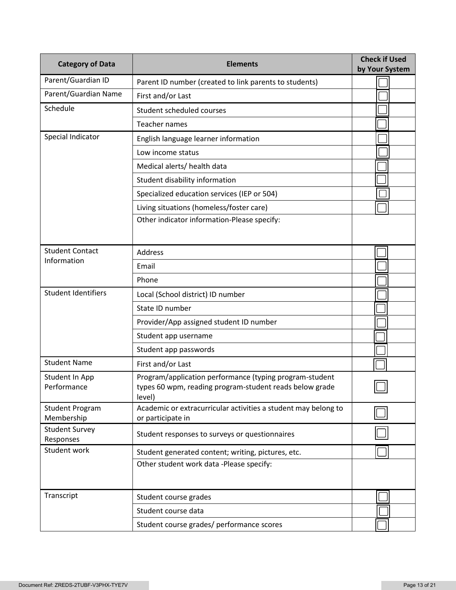| <b>Category of Data</b>              | <b>Elements</b>                                                                                                              | <b>Check if Used</b><br>by Your System |
|--------------------------------------|------------------------------------------------------------------------------------------------------------------------------|----------------------------------------|
| Parent/Guardian ID                   | Parent ID number (created to link parents to students)                                                                       |                                        |
| Parent/Guardian Name                 | First and/or Last                                                                                                            |                                        |
| Schedule                             | Student scheduled courses                                                                                                    |                                        |
|                                      | <b>Teacher names</b>                                                                                                         |                                        |
| Special Indicator                    | English language learner information                                                                                         |                                        |
|                                      | Low income status                                                                                                            |                                        |
|                                      | Medical alerts/ health data                                                                                                  |                                        |
|                                      | Student disability information                                                                                               |                                        |
|                                      | Specialized education services (IEP or 504)                                                                                  |                                        |
|                                      | Living situations (homeless/foster care)                                                                                     |                                        |
|                                      | Other indicator information-Please specify:                                                                                  |                                        |
| <b>Student Contact</b>               | <b>Address</b>                                                                                                               |                                        |
| Information                          | Email                                                                                                                        |                                        |
|                                      | Phone                                                                                                                        |                                        |
| <b>Student Identifiers</b>           | Local (School district) ID number                                                                                            |                                        |
|                                      | State ID number                                                                                                              |                                        |
|                                      | Provider/App assigned student ID number                                                                                      |                                        |
|                                      | Student app username                                                                                                         |                                        |
|                                      | Student app passwords                                                                                                        |                                        |
| <b>Student Name</b>                  | First and/or Last                                                                                                            |                                        |
| Student In App<br>Performance        | Program/application performance (typing program-student<br>types 60 wpm, reading program-student reads below grade<br>level) |                                        |
| <b>Student Program</b><br>Membership | Academic or extracurricular activities a student may belong to<br>or participate in                                          |                                        |
| <b>Student Survey</b><br>Responses   | Student responses to surveys or questionnaires                                                                               |                                        |
| Student work                         | Student generated content; writing, pictures, etc.                                                                           |                                        |
|                                      | Other student work data -Please specify:                                                                                     |                                        |
| Transcript                           | Student course grades                                                                                                        |                                        |
|                                      | Student course data                                                                                                          |                                        |
|                                      | Student course grades/ performance scores                                                                                    |                                        |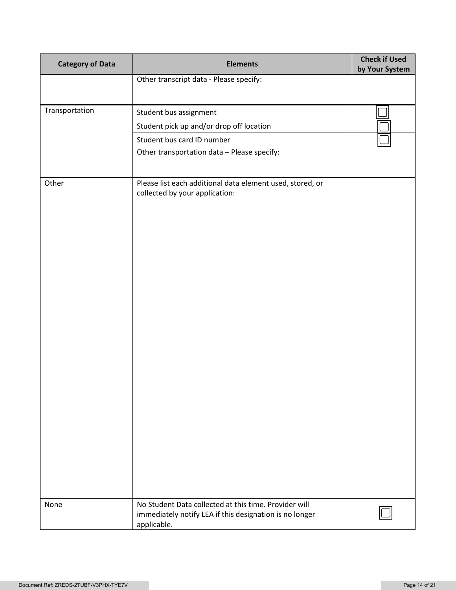| <b>Category of Data</b> | <b>Elements</b>                                                                                                  | <b>Check if Used</b><br>by Your System |
|-------------------------|------------------------------------------------------------------------------------------------------------------|----------------------------------------|
|                         | Other transcript data - Please specify:                                                                          |                                        |
|                         |                                                                                                                  |                                        |
| Transportation          | Student bus assignment                                                                                           |                                        |
|                         | Student pick up and/or drop off location                                                                         |                                        |
|                         | Student bus card ID number                                                                                       |                                        |
|                         | Other transportation data - Please specify:                                                                      |                                        |
|                         |                                                                                                                  |                                        |
| Other                   | Please list each additional data element used, stored, or<br>collected by your application:                      |                                        |
| None                    | No Student Data collected at this time. Provider will<br>immediately notify LEA if this designation is no longer |                                        |
|                         | applicable.                                                                                                      |                                        |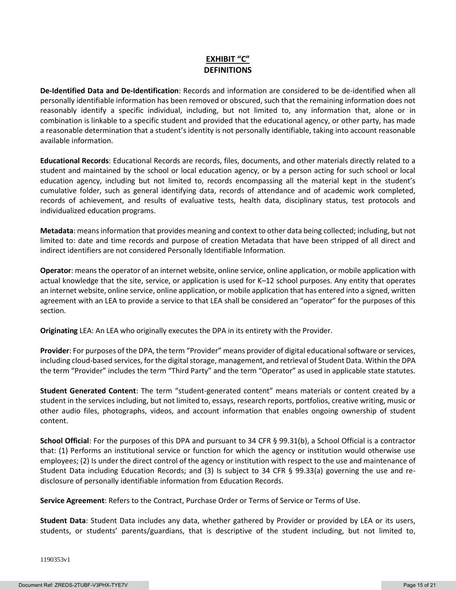# **EXHIBIT "C" DEFINITIONS**

**De-Identified Data and De-Identification**: Records and information are considered to be de-identified when all personally identifiable information has been removed or obscured, such that the remaining information does not reasonably identify a specific individual, including, but not limited to, any information that, alone or in combination is linkable to a specific student and provided that the educational agency, or other party, has made a reasonable determination that a student's identity is not personally identifiable, taking into account reasonable available information.

**Educational Records**: Educational Records are records, files, documents, and other materials directly related to a student and maintained by the school or local education agency, or by a person acting for such school or local education agency, including but not limited to, records encompassing all the material kept in the student's cumulative folder, such as general identifying data, records of attendance and of academic work completed, records of achievement, and results of evaluative tests, health data, disciplinary status, test protocols and individualized education programs.

**Metadata**: means information that provides meaning and context to other data being collected; including, but not limited to: date and time records and purpose of creation Metadata that have been stripped of all direct and indirect identifiers are not considered Personally Identifiable Information.

**Operator**: means the operator of an internet website, online service, online application, or mobile application with actual knowledge that the site, service, or application is used for K–12 school purposes. Any entity that operates an internet website, online service, online application, or mobile application that has entered into a signed, written agreement with an LEA to provide a service to that LEA shall be considered an "operator" for the purposes of this section.

**Originating** LEA: An LEA who originally executes the DPA in its entirety with the Provider.

**Provider**: For purposes of the DPA, the term "Provider" means provider of digital educational software or services, including cloud-based services, for the digital storage, management, and retrieval of Student Data. Within the DPA the term "Provider" includes the term "Third Party" and the term "Operator" as used in applicable state statutes.

**Student Generated Content**: The term "student-generated content" means materials or content created by a student in the services including, but not limited to, essays, research reports, portfolios, creative writing, music or other audio files, photographs, videos, and account information that enables ongoing ownership of student content.

**School Official**: For the purposes of this DPA and pursuant to 34 CFR § 99.31(b), a School Official is a contractor that: (1) Performs an institutional service or function for which the agency or institution would otherwise use employees; (2) Is under the direct control of the agency or institution with respect to the use and maintenance of Student Data including Education Records; and (3) Is subject to 34 CFR § 99.33(a) governing the use and redisclosure of personally identifiable information from Education Records.

**Service Agreement**: Refers to the Contract, Purchase Order or Terms of Service or Terms of Use.

**Student Data**: Student Data includes any data, whether gathered by Provider or provided by LEA or its users, students, or students' parents/guardians, that is descriptive of the student including, but not limited to,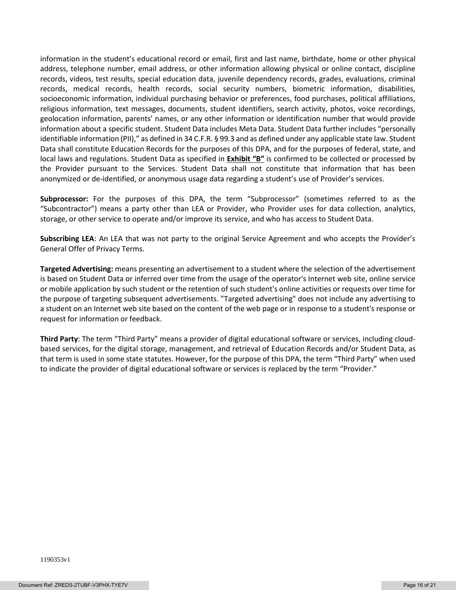information in the student's educational record or email, first and last name, birthdate, home or other physical address, telephone number, email address, or other information allowing physical or online contact, discipline records, videos, test results, special education data, juvenile dependency records, grades, evaluations, criminal records, medical records, health records, social security numbers, biometric information, disabilities, socioeconomic information, individual purchasing behavior or preferences, food purchases, political affiliations, religious information, text messages, documents, student identifiers, search activity, photos, voice recordings, geolocation information, parents' names, or any other information or identification number that would provide information about a specific student. Student Data includes Meta Data. Student Data further includes "personally identifiable information (PII)," as defined in 34 C.F.R. § 99.3 and as defined under any applicable state law. Student Data shall constitute Education Records for the purposes of this DPA, and for the purposes of federal, state, and local laws and regulations. Student Data as specified in **Exhibit "B"** is confirmed to be collected or processed by the Provider pursuant to the Services. Student Data shall not constitute that information that has been anonymized or de-identified, or anonymous usage data regarding a student's use of Provider's services.

**Subprocessor:** For the purposes of this DPA, the term "Subprocessor" (sometimes referred to as the "Subcontractor") means a party other than LEA or Provider, who Provider uses for data collection, analytics, storage, or other service to operate and/or improve its service, and who has access to Student Data.

**Subscribing LEA**: An LEA that was not party to the original Service Agreement and who accepts the Provider's General Offer of Privacy Terms.

**Targeted Advertising:** means presenting an advertisement to a student where the selection of the advertisement is based on Student Data or inferred over time from the usage of the operator's Internet web site, online service or mobile application by such student or the retention of such student's online activities or requests over time for the purpose of targeting subsequent advertisements. "Targeted advertising" does not include any advertising to a student on an Internet web site based on the content of the web page or in response to a student's response or request for information or feedback.

**Third Party**: The term "Third Party" means a provider of digital educational software or services, including cloudbased services, for the digital storage, management, and retrieval of Education Records and/or Student Data, as that term is used in some state statutes. However, for the purpose of this DPA, the term "Third Party" when used to indicate the provider of digital educational software or services is replaced by the term "Provider."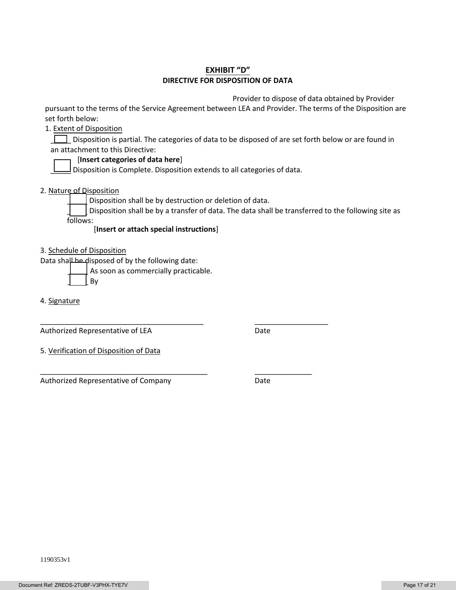# **EXHIBIT "D" DIRECTIVE FOR DISPOSITION OF DATA**

Provider to dispose of data obtained by Provider

pursuant to the terms of the Service Agreement between LEA and Provider. The terms of the Disposition are set forth below:

1. Extent of Disposition

Disposition is partial. The categories of data to be disposed of are set forth below or are found in an attachment to this Directive:

### [**Insert categories of data here**]

 $\Box$  Disposition is Complete. Disposition extends to all categories of data.

2. Nature of Disposition

Disposition shall be by destruction or deletion of data.

\_\_\_\_\_\_\_\_\_\_\_\_\_\_\_\_\_\_\_\_\_\_\_\_\_\_\_\_\_\_\_\_\_\_\_\_\_\_\_\_ \_\_\_\_\_\_\_\_\_\_\_\_\_\_\_\_\_\_

\_\_\_\_\_\_\_\_\_\_\_\_\_\_\_\_\_\_\_\_\_\_\_\_\_\_\_\_\_\_\_\_\_\_\_\_\_\_\_\_\_ \_\_\_\_\_\_\_\_\_\_\_\_\_\_

Disposition shall be by a transfer of data. The data shall be transferred to the following site as follows:

[**Insert or attach special instructions**]

3. Schedule of Disposition

Data shall be disposed of by the following date:

As soon as commercially practicable.

\_\_\_\_\_ By

4. Signature

Authorized Representative of LEA Date

5. Verification of Disposition of Data

Authorized Representative of Company **Date**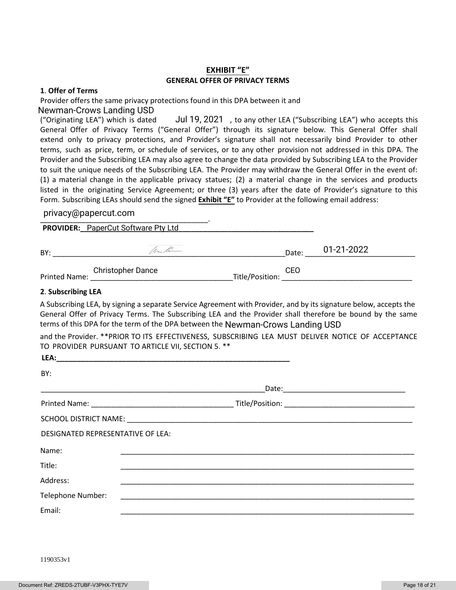## **EXHIBIT "E" GENERAL OFFER OF PRIVACY TERMS**

#### **1**. **Offer of Terms**

Provider offers the same privacy protections found in this DPA between it and Newman-Crows Landing USD

("Originating LEA") which is dated Jul 19, 2021, to any other LEA ("Subscribing LEA") who accepts this General Offer of Privacy Terms ("General Offer") through its signature below. This General Offer shall extend only to privacy protections, and Provider's signature shall not necessarily bind Provider to other terms, such as price, term, or schedule of services, or to any other provision not addressed in this DPA. The Provider and the Subscribing LEA may also agree to change the data provided by Subscribing LEA to the Provider to suit the unique needs of the Subscribing LEA. The Provider may withdraw the General Offer in the event of: (1) a material change in the applicable privacy statues; (2) a material change in the services and products listed in the originating Service Agreement; or three (3) years after the date of Provider's signature to this Form. Subscribing LEAs should send the signed **Exhibit "E"** to Provider at the following email address:

#### pmacy@papercat.com privacy@papercut.com

**PROVIDER:\_\_\_\_\_\_\_\_\_\_\_\_\_\_\_\_\_\_\_\_\_\_\_\_\_\_\_\_\_\_\_\_\_\_\_\_\_\_\_\_\_\_\_\_\_\_\_\_\_\_\_\_\_\_\_\_\_** PaperCut Software Pty Ltd

| BY:           | Muchan                   |                 | Date: | 01-21-2022 |
|---------------|--------------------------|-----------------|-------|------------|
| Printed Name: | <b>Christopher Dance</b> | Title/Position: | CEO   |            |

#### **2**. **Subscribing LEA**

A Subscribing LEA, by signing a separate Service Agreement with Provider, and by its signature below, accepts the General Offer of Privacy Terms. The Subscribing LEA and the Provider shall therefore be bound by the same terms of this DPA for the term of the DPA between the Newman-Crows Landing USD

and the Provider. \*\*PRIOR TO ITS EFFECTIVENESS, SUBSCRIBING LEA MUST DELIVER NOTICE OF ACCEPTANCE TO PROVIDER PURSUANT TO ARTICLE VII, SECTION 5. \*\*

| LEA:                              |                                                                      |  |
|-----------------------------------|----------------------------------------------------------------------|--|
| BY:                               |                                                                      |  |
|                                   |                                                                      |  |
|                                   |                                                                      |  |
|                                   |                                                                      |  |
| DESIGNATED REPRESENTATIVE OF LEA: |                                                                      |  |
| Name:                             |                                                                      |  |
| Title:                            |                                                                      |  |
| Address:                          |                                                                      |  |
| Telephone Number:                 | <u> 1989 - Jan Berlin, margaret al-Amerikaansk politik (d. 1989)</u> |  |
| Email:                            |                                                                      |  |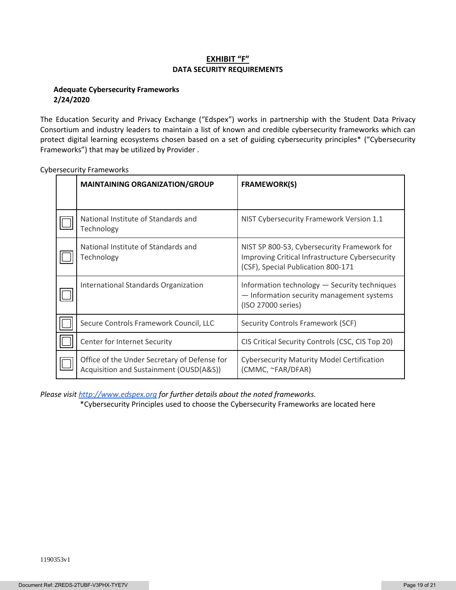## **EXHIBIT "F" DATA SECURITY REQUIREMENTS**

### **Adequate Cybersecurity Frameworks 2/24/2020**

The Education Security and Privacy Exchange ("Edspex") works in partnership with the Student Data Privacy Consortium and industry leaders to maintain a list of known and credible cybersecurity frameworks which can protect digital learning ecosystems chosen based on a set of guiding cybersecurity principles\* ("Cybersecurity Frameworks") that may be utilized by Provider .

| <b>MAINTAINING ORGANIZATION/GROUP</b>                                                   | <b>FRAMEWORK(S)</b>                                                                                                                  |
|-----------------------------------------------------------------------------------------|--------------------------------------------------------------------------------------------------------------------------------------|
|                                                                                         |                                                                                                                                      |
| National Institute of Standards and<br>Technology                                       | NIST Cybersecurity Framework Version 1.1                                                                                             |
| National Institute of Standards and<br>Technology                                       | NIST SP 800-53, Cybersecurity Framework for<br>Improving Critical Infrastructure Cybersecurity<br>(CSF), Special Publication 800-171 |
| International Standards Organization                                                    | Information technology - Security techniques<br>- Information security management systems<br>(ISO 27000 series)                      |
| Secure Controls Framework Council, LLC                                                  | Security Controls Framework (SCF)                                                                                                    |
| Center for Internet Security                                                            | CIS Critical Security Controls (CSC, CIS Top 20)                                                                                     |
| Office of the Under Secretary of Defense for<br>Acquisition and Sustainment (OUSD(A&S)) | <b>Cybersecurity Maturity Model Certification</b><br>(CMMC, ~FAR/DFAR)                                                               |

Cybersecurity Frameworks

*Please visi[t http://www.edspex.org](http://www.edspex.org/) for further details about the noted frameworks.*

\*Cybersecurity Principles used to choose the Cybersecurity Frameworks are located here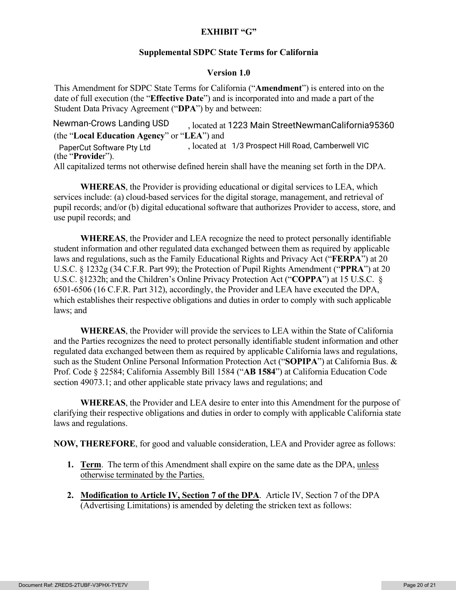# **EXHIBIT "G"**

# **Supplemental SDPC State Terms for California**

# **Version 1.0**

This Amendment for SDPC State Terms for California ("**Amendment**") is entered into on the date of full execution (the "**Effective Date**") and is incorporated into and made a part of the Student Data Privacy Agreement ("**DPA**") by and between:

, located at Newman-Crows Landing USD 1223 Main StreetNewmanCalifornia95360 (the "**Local Education Agency**" or "**LEA**") and , located at PaperCut Software Pty Ltd 1/3 Prospect Hill Road, Camberwell VIC (the "**Provide**r"). All capitalized terms not otherwise defined herein shall have the meaning set forth in the DPA.

**WHEREAS**, the Provider is providing educational or digital services to LEA, which services include: (a) cloud-based services for the digital storage, management, and retrieval of pupil records; and/or (b) digital educational software that authorizes Provider to access, store, and use pupil records; and

**WHEREAS**, the Provider and LEA recognize the need to protect personally identifiable student information and other regulated data exchanged between them as required by applicable laws and regulations, such as the Family Educational Rights and Privacy Act ("**FERPA**") at 20 U.S.C. § 1232g (34 C.F.R. Part 99); the Protection of Pupil Rights Amendment ("**PPRA**") at 20 U.S.C. §1232h; and the Children's Online Privacy Protection Act ("**COPPA**") at 15 U.S.C. § 6501-6506 (16 C.F.R. Part 312), accordingly, the Provider and LEA have executed the DPA, which establishes their respective obligations and duties in order to comply with such applicable laws; and

**WHEREAS**, the Provider will provide the services to LEA within the State of California and the Parties recognizes the need to protect personally identifiable student information and other regulated data exchanged between them as required by applicable California laws and regulations, such as the Student Online Personal Information Protection Act ("**SOPIPA**") at California Bus. & Prof. Code § 22584; California Assembly Bill 1584 ("**AB 1584**") at California Education Code section 49073.1; and other applicable state privacy laws and regulations; and

**WHEREAS**, the Provider and LEA desire to enter into this Amendment for the purpose of clarifying their respective obligations and duties in order to comply with applicable California state laws and regulations.

**NOW, THEREFORE**, for good and valuable consideration, LEA and Provider agree as follows:

- **1. Term**. The term of this Amendment shall expire on the same date as the DPA, unless otherwise terminated by the Parties.
- **2. Modification to Article IV, Section 7 of the DPA**. Article IV, Section 7 of the DPA (Advertising Limitations) is amended by deleting the stricken text as follows: